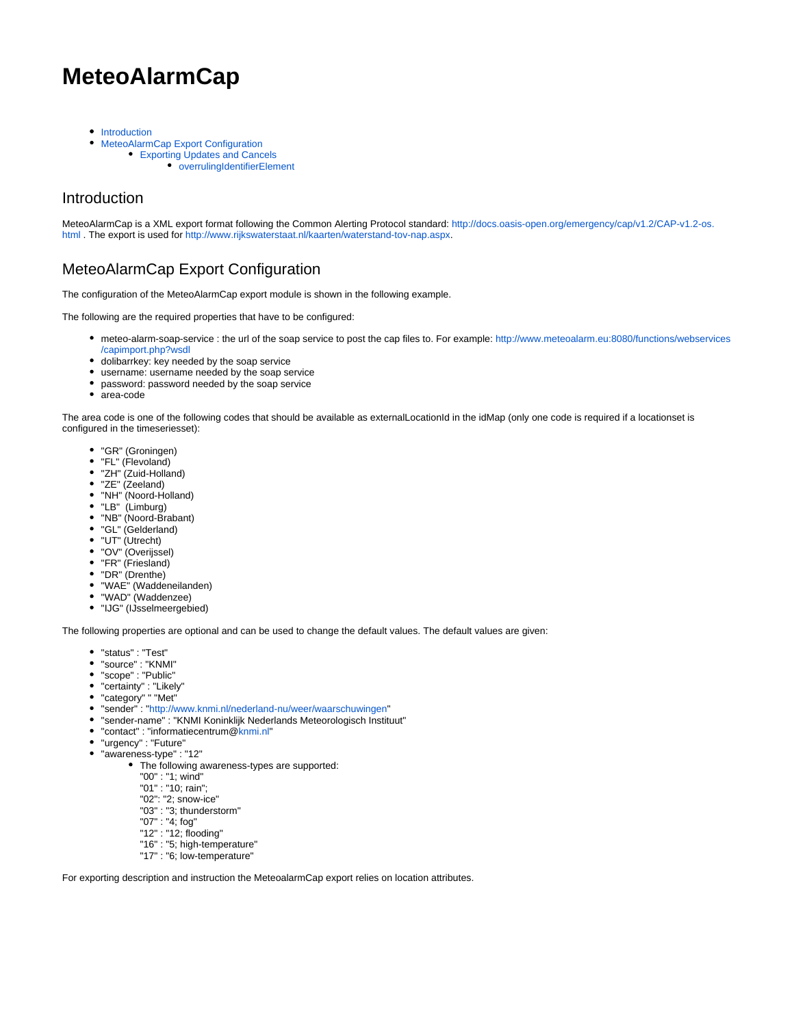# **MeteoAlarmCap**

- **•** [Introduction](#page-0-0)
- [MeteoAlarmCap Export Configuration](#page-0-1)
	- [Exporting Updates and Cancels](#page-4-0)
		- [overrulingIdentifierElement](#page-4-1)

### <span id="page-0-0"></span>**Introduction**

MeteoAlarmCap is a XML export format following the Common Alerting Protocol standard: [http://docs.oasis-open.org/emergency/cap/v1.2/CAP-v1.2-os.](http://docs.oasis-open.org/emergency/cap/v1.2/CAP-v1.2-os.html) [html](http://docs.oasis-open.org/emergency/cap/v1.2/CAP-v1.2-os.html) . The export is used for<http://www.rijkswaterstaat.nl/kaarten/waterstand-tov-nap.aspx>.

## <span id="page-0-1"></span>MeteoAlarmCap Export Configuration

The configuration of the MeteoAlarmCap export module is shown in the following example.

The following are the required properties that have to be configured:

- meteo-alarm-soap-service : the url of the soap service to post the cap files to. For example: [http://www.meteoalarm.eu:8080/functions/webservices](http://www.meteoalarm.eu:8080/functions/webservices/capimport.php?wsdl) [/capimport.php?wsdl](http://www.meteoalarm.eu:8080/functions/webservices/capimport.php?wsdl)
- dolibarrkey: key needed by the soap service
- username: username needed by the soap service
- password: password needed by the soap service
- area-code

The area code is one of the following codes that should be available as externalLocationId in the idMap (only one code is required if a locationset is configured in the timeseriesset):

- "GR" (Groningen)
- "FL" (Flevoland)
- "ZH" (Zuid-Holland)
- "ZE" (Zeeland)
- "NH" (Noord-Holland)
- "LB" (Limburg)
- "NB" (Noord-Brabant)
- "GL" (Gelderland)
- "UT" (Utrecht)
- "OV" (Overijssel)
- "FR" (Friesland)
- "DR" (Drenthe)
- "WAE" (Waddeneilanden)
- "WAD" (Waddenzee)
- "IJG" (IJsselmeergebied)

The following properties are optional and can be used to change the default values. The default values are given:

- "status" : "Test"
- "source" : "KNMI"
- "scope" : "Public"
- "certainty" : "Likely"
- "category" " "Met"
- "sender" : ["http://www.knmi.nl/nederland-nu/weer/waarschuwingen"](http://www.knmi.nl/nederland-nu/weer/waarschuwingen)
- "sender-name" : "KNMI Koninklijk Nederlands Meteorologisch Instituut"
- "contact" : "informatiecentrum[@knmi.nl"](http://knmi.nl)
- "urgency" : "Future"
- "awareness-type" : "12"
	- The following awareness-types are supported:
		- "00" : "1; wind"
		- "01" : "10; rain";
		- "02": "2; snow-ice"
		- "03" : "3; thunderstorm"
		- "07" : "4; fog"
		- "12" : "12; flooding"
		- "16" : "5; high-temperature"
		- "17" : "6; low-temperature"

For exporting description and instruction the MeteoalarmCap export relies on location attributes.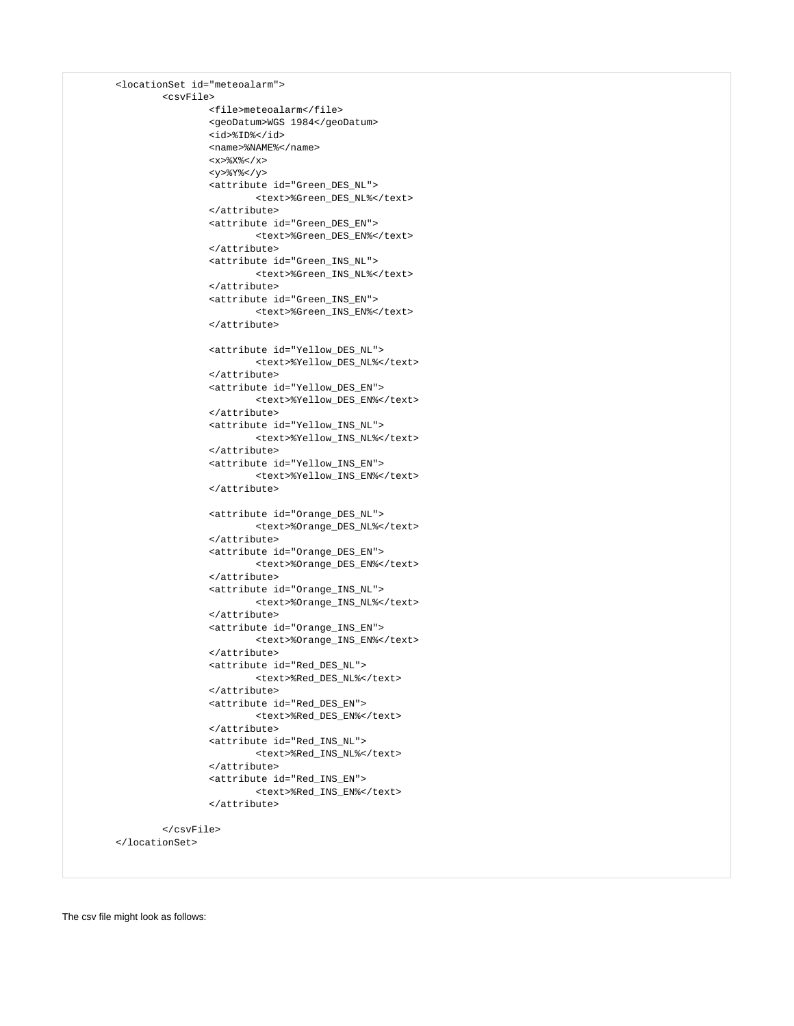```
 <locationSet id="meteoalarm">
         <csvFile>
                 <file>meteoalarm</file>
                 <geoDatum>WGS 1984</geoDatum>
                 <id>%ID%</id>
                 <name>%NAME%</name>
                <x>\X< /x><y>%Y%</y>
                 <attribute id="Green_DES_NL">
                          <text>%Green_DES_NL%</text>
                 </attribute>
                 <attribute id="Green_DES_EN">
                          <text>%Green_DES_EN%</text>
                 </attribute>
                 <attribute id="Green_INS_NL">
                          <text>%Green_INS_NL%</text>
                  </attribute>
                 <attribute id="Green_INS_EN">
                         <text>%Green_INS_EN%</text>
                 </attribute>
                 <attribute id="Yellow_DES_NL">
                          <text>%Yellow_DES_NL%</text>
                 </attribute>
                 <attribute id="Yellow_DES_EN">
                          <text>%Yellow_DES_EN%</text>
                 </attribute>
                 <attribute id="Yellow_INS_NL">
                          <text>%Yellow_INS_NL%</text>
                  </attribute>
                 <attribute id="Yellow_INS_EN">
                         <text>%Yellow_INS_EN%</text>
                 </attribute>
                 <attribute id="Orange_DES_NL">
                          <text>%Orange_DES_NL%</text>
                 </attribute>
                 <attribute id="Orange_DES_EN">
                          <text>%Orange_DES_EN%</text>
                 </attribute>
                 <attribute id="Orange_INS_NL">
                          <text>%Orange_INS_NL%</text>
                 </attribute>
                 <attribute id="Orange_INS_EN">
                         <text>%Orange_INS_EN%</text>
                 </attribute>
                 <attribute id="Red_DES_NL">
                          <text>%Red_DES_NL%</text>
                 </attribute>
                 <attribute id="Red_DES_EN">
                         <text>%Red_DES_EN%</text>
                 </attribute>
                 <attribute id="Red_INS_NL">
                          <text>%Red_INS_NL%</text>
                 </attribute>
                  <attribute id="Red_INS_EN">
                         <text>%Red_INS_EN%</text>
                 </attribute>
         </csvFile>
 </locationSet>
```
The csv file might look as follows: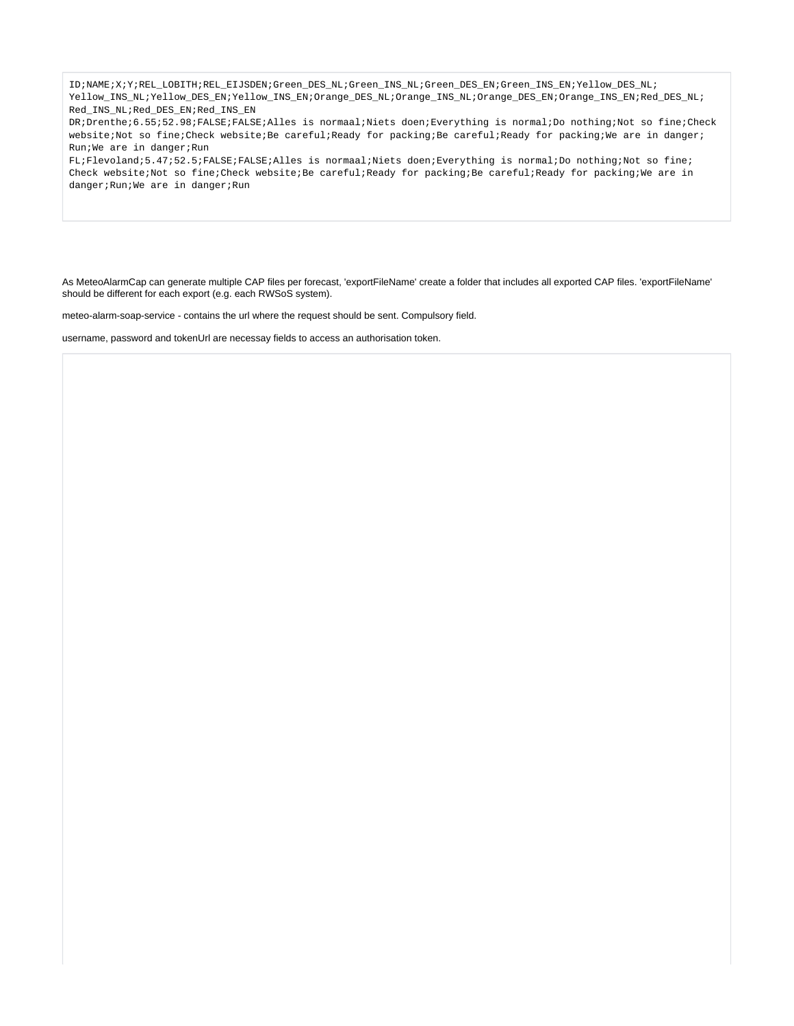ID;NAME;X;Y;REL\_LOBITH;REL\_EIJSDEN;Green\_DES\_NL;Green\_INS\_NL;Green\_DES\_EN;Green\_INS\_EN;Yellow\_DES\_NL; Yellow\_INS\_NL;Yellow\_DES\_EN;Yellow\_INS\_EN;Orange\_DES\_NL;Orange\_INS\_NL;Orange\_DES\_EN;Orange\_INS\_EN;Red\_DES\_NL; Red\_INS\_NL;Red\_DES\_EN;Red\_INS\_EN

DR;Drenthe;6.55;52.98;FALSE;FALSE;Alles is normaal;Niets doen;Everything is normal;Do nothing;Not so fine;Check website;Not so fine;Check website;Be careful;Ready for packing;Be careful;Ready for packing;We are in danger; Run;We are in danger;Run

FL;Flevoland;5.47;52.5;FALSE;FALSE;Alles is normaal;Niets doen;Everything is normal;Do nothing;Not so fine; Check website;Not so fine;Check website;Be careful;Ready for packing;Be careful;Ready for packing;We are in danger;Run;We are in danger;Run

As MeteoAlarmCap can generate multiple CAP files per forecast, 'exportFileName' create a folder that includes all exported CAP files. 'exportFileName' should be different for each export (e.g. each RWSoS system).

meteo-alarm-soap-service - contains the url where the request should be sent. Compulsory field.

username, password and tokenUrl are necessay fields to access an authorisation token.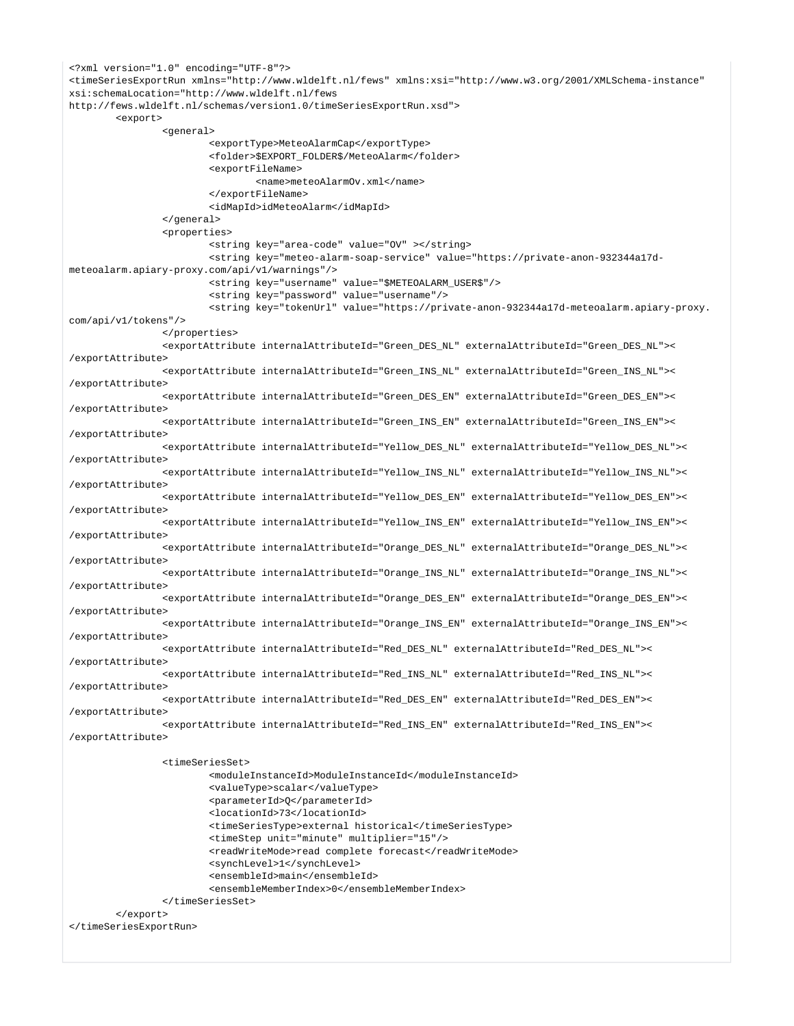```
<?xml version="1.0" encoding="UTF-8"?>
<timeSeriesExportRun xmlns="http://www.wldelft.nl/fews" xmlns:xsi="http://www.w3.org/2001/XMLSchema-instance" 
xsi:schemaLocation="http://www.wldelft.nl/fews
http://fews.wldelft.nl/schemas/version1.0/timeSeriesExportRun.xsd">
         <export>
                 <general>
                         <exportType>MeteoAlarmCap</exportType>
                         <folder>$EXPORT_FOLDER$/MeteoAlarm</folder>
                         <exportFileName>
                                 <name>meteoAlarmOv.xml</name>
                         </exportFileName>
                         <idMapId>idMeteoAlarm</idMapId>
                 </general>
                 <properties>
                         <string key="area-code" value="OV" ></string>
                         <string key="meteo-alarm-soap-service" value="https://private-anon-932344a17d-
meteoalarm.apiary-proxy.com/api/v1/warnings"/>
                         <string key="username" value="$METEOALARM_USER$"/>
                         <string key="password" value="username"/>
                         <string key="tokenUrl" value="https://private-anon-932344a17d-meteoalarm.apiary-proxy.
com/api/v1/tokens"/>
                 </properties>
                 <exportAttribute internalAttributeId="Green_DES_NL" externalAttributeId="Green_DES_NL"><
/exportAttribute>
                 <exportAttribute internalAttributeId="Green_INS_NL" externalAttributeId="Green_INS_NL"><
/exportAttribute>
                 <exportAttribute internalAttributeId="Green_DES_EN" externalAttributeId="Green_DES_EN"><
/exportAttribute>
                 <exportAttribute internalAttributeId="Green_INS_EN" externalAttributeId="Green_INS_EN"><
/exportAttribute> 
                 <exportAttribute internalAttributeId="Yellow_DES_NL" externalAttributeId="Yellow_DES_NL"><
/exportAttribute>
                 <exportAttribute internalAttributeId="Yellow_INS_NL" externalAttributeId="Yellow_INS_NL"><
/exportAttribute>
                 <exportAttribute internalAttributeId="Yellow_DES_EN" externalAttributeId="Yellow_DES_EN"><
/exportAttribute>
                 <exportAttribute internalAttributeId="Yellow_INS_EN" externalAttributeId="Yellow_INS_EN"><
/exportAttribute>
                 <exportAttribute internalAttributeId="Orange_DES_NL" externalAttributeId="Orange_DES_NL"><
/exportAttribute>
                 <exportAttribute internalAttributeId="Orange_INS_NL" externalAttributeId="Orange_INS_NL"><
/exportAttribute>
                 <exportAttribute internalAttributeId="Orange_DES_EN" externalAttributeId="Orange_DES_EN"><
/exportAttribute>
                 <exportAttribute internalAttributeId="Orange_INS_EN" externalAttributeId="Orange_INS_EN"><
/exportAttribute>
                 <exportAttribute internalAttributeId="Red_DES_NL" externalAttributeId="Red_DES_NL"><
/exportAttribute>
                 <exportAttribute internalAttributeId="Red_INS_NL" externalAttributeId="Red_INS_NL"><
/exportAttribute>
                 <exportAttribute internalAttributeId="Red_DES_EN" externalAttributeId="Red_DES_EN"><
/exportAttribute>
                 <exportAttribute internalAttributeId="Red_INS_EN" externalAttributeId="Red_INS_EN"><
/exportAttribute>
                 <timeSeriesSet>
                         <moduleInstanceId>ModuleInstanceId</moduleInstanceId>
                         <valueType>scalar</valueType>
                         <parameterId>Q</parameterId>
                         <locationId>73</locationId>
```

```
 <timeSeriesType>external historical</timeSeriesType>
         <timeStep unit="minute" multiplier="15"/>
         <readWriteMode>read complete forecast</readWriteMode>
         <synchLevel>1</synchLevel>
         <ensembleId>main</ensembleId>
         <ensembleMemberIndex>0</ensembleMemberIndex>
 </timeSeriesSet>
```

```
 </export>
</timeSeriesExportRun>
```